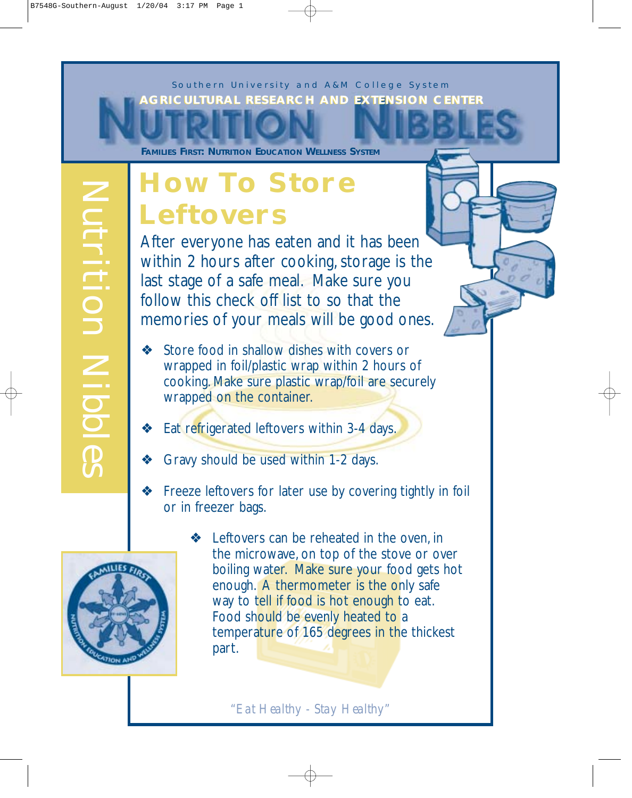*Southern University and A&M College System* **AAGRICULTURAL RESEARCH AND EXTENSION CENTER GRICULTURAL RESEARCH AND EXTENSION CENTER**

**FAMILIES FIRST: NUTRITION EDUCATION WELLNESS SYSTEM**

## **How To Store Leftovers**

After everyone has eaten and it has been within 2 hours after cooking, storage is the last stage of a safe meal. Make sure you follow this check off list to so that the memories of your meals will be good ones.

- ❖ Store food in shallow dishes with covers or wrapped in foil/plastic wrap within 2 hours of cooking. Make sure plastic wrap/foil are securely wrapped on the container.
- ❖ Eat refrigerated leftovers within 3-4 days.
- ❖ Gravy should be used within 1-2 days.
- ❖ Freeze leftovers for later use by covering tightly in foil or in freezer bags.



❖ Leftovers can be reheated in the oven, in the microwave, on top of the stove or over boiling water. Make sure your food gets hot enough. A thermometer is the only safe way to tell if food is hot enough to eat. Food should be evenly heated to a temperature of 165 degrees in the thickest part.

"Eat Healthy - Stay Healthy"